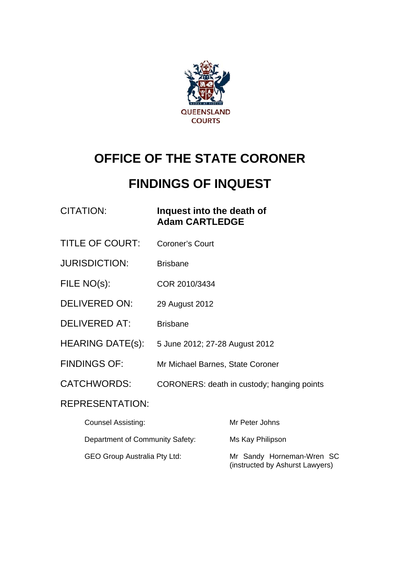

# **OFFICE OF THE STATE CORONER**

# **FINDINGS OF INQUEST**

### CITATION: **Inquest into the death of Adam CARTLEDGE**

- TITLE OF COURT: Coroner's Court
- JURISDICTION: Brisbane
- FILE NO(s): COR 2010/3434
- DELIVERED ON: 29 August 2012
- DELIVERED AT: Brisbane
- HEARING DATE(s): 5 June 2012; 27-28 August 2012
- FINDINGS OF: Mr Michael Barnes, State Coroner
- CATCHWORDS: CORONERS: death in custody; hanging points

#### REPRESENTATION:

| <b>Counsel Assisting:</b>           | Mr Peter Johns                                               |
|-------------------------------------|--------------------------------------------------------------|
| Department of Community Safety:     | Ms Kay Philipson                                             |
| <b>GEO Group Australia Pty Ltd:</b> | Mr Sandy Horneman-Wren SC<br>(instructed by Ashurst Lawyers) |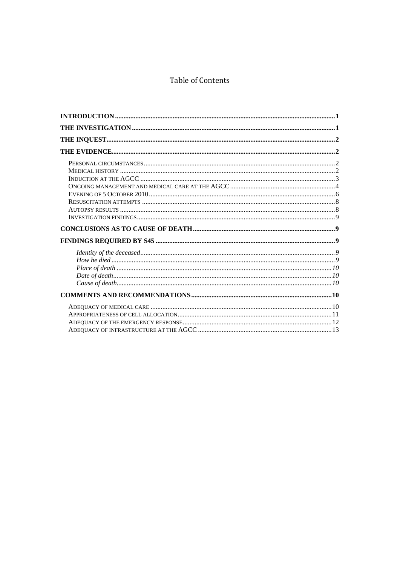#### Table of Contents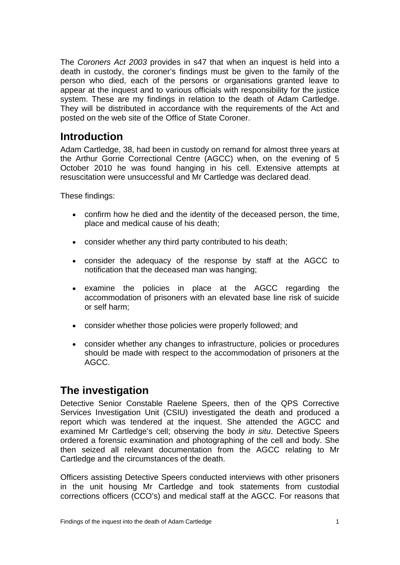The *Coroners Act 2003* provides in s47 that when an inquest is held into a death in custody, the coroner's findings must be given to the family of the person who died, each of the persons or organisations granted leave to appear at the inquest and to various officials with responsibility for the justice system. These are my findings in relation to the death of Adam Cartledge. They will be distributed in accordance with the requirements of the Act and posted on the web site of the Office of State Coroner.

# <span id="page-2-0"></span>**Introduction**

Adam Cartledge, 38, had been in custody on remand for almost three years at the Arthur Gorrie Correctional Centre (AGCC) when, on the evening of 5 October 2010 he was found hanging in his cell. Extensive attempts at resuscitation were unsuccessful and Mr Cartledge was declared dead.

These findings:

- confirm how he died and the identity of the deceased person, the time, place and medical cause of his death;
- consider whether any third party contributed to his death;
- consider the adequacy of the response by staff at the AGCC to notification that the deceased man was hanging;
- examine the policies in place at the AGCC regarding the accommodation of prisoners with an elevated base line risk of suicide or self harm;
- consider whether those policies were properly followed; and
- consider whether any changes to infrastructure, policies or procedures should be made with respect to the accommodation of prisoners at the AGCC.

# <span id="page-2-1"></span>**The investigation**

Detective Senior Constable Raelene Speers, then of the QPS Corrective Services Investigation Unit (CSIU) investigated the death and produced a report which was tendered at the inquest. She attended the AGCC and examined Mr Cartledge's cell; observing the body *in situ*. Detective Speers ordered a forensic examination and photographing of the cell and body. She then seized all relevant documentation from the AGCC relating to Mr Cartledge and the circumstances of the death.

Officers assisting Detective Speers conducted interviews with other prisoners in the unit housing Mr Cartledge and took statements from custodial corrections officers (CCO's) and medical staff at the AGCC. For reasons that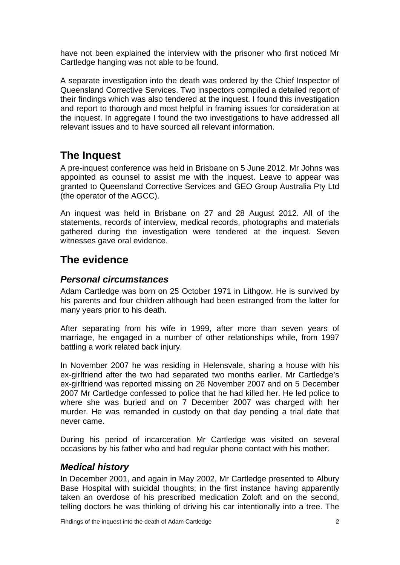have not been explained the interview with the prisoner who first noticed Mr Cartledge hanging was not able to be found.

A separate investigation into the death was ordered by the Chief Inspector of Queensland Corrective Services. Two inspectors compiled a detailed report of their findings which was also tendered at the inquest. I found this investigation and report to thorough and most helpful in framing issues for consideration at the inquest. In aggregate I found the two investigations to have addressed all relevant issues and to have sourced all relevant information.

# <span id="page-3-0"></span>**The Inquest**

A pre-inquest conference was held in Brisbane on 5 June 2012. Mr Johns was appointed as counsel to assist me with the inquest. Leave to appear was granted to Queensland Corrective Services and GEO Group Australia Pty Ltd (the operator of the AGCC).

An inquest was held in Brisbane on 27 and 28 August 2012. All of the statements, records of interview, medical records, photographs and materials gathered during the investigation were tendered at the inquest. Seven witnesses gave oral evidence.

# <span id="page-3-1"></span>**The evidence**

#### <span id="page-3-2"></span>*Personal circumstances*

Adam Cartledge was born on 25 October 1971 in Lithgow. He is survived by his parents and four children although had been estranged from the latter for many years prior to his death.

After separating from his wife in 1999, after more than seven years of marriage, he engaged in a number of other relationships while, from 1997 battling a work related back injury.

In November 2007 he was residing in Helensvale, sharing a house with his ex-girlfriend after the two had separated two months earlier. Mr Cartledge's ex-girlfriend was reported missing on 26 November 2007 and on 5 December 2007 Mr Cartledge confessed to police that he had killed her. He led police to where she was buried and on 7 December 2007 was charged with her murder. He was remanded in custody on that day pending a trial date that never came.

During his period of incarceration Mr Cartledge was visited on several occasions by his father who and had regular phone contact with his mother.

#### <span id="page-3-3"></span>*Medical history*

In December 2001, and again in May 2002, Mr Cartledge presented to Albury Base Hospital with suicidal thoughts; in the first instance having apparently taken an overdose of his prescribed medication Zoloft and on the second, telling doctors he was thinking of driving his car intentionally into a tree. The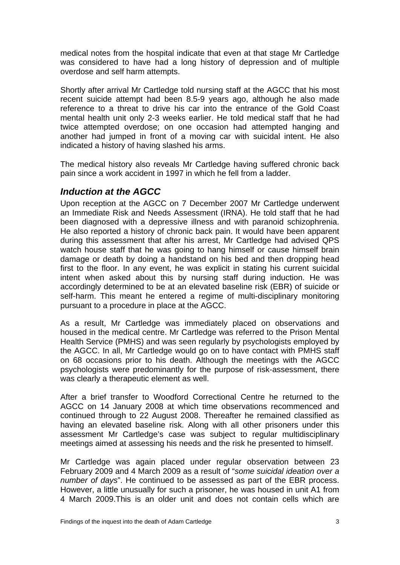medical notes from the hospital indicate that even at that stage Mr Cartledge was considered to have had a long history of depression and of multiple overdose and self harm attempts.

Shortly after arrival Mr Cartledge told nursing staff at the AGCC that his most recent suicide attempt had been 8.5-9 years ago, although he also made reference to a threat to drive his car into the entrance of the Gold Coast mental health unit only 2-3 weeks earlier. He told medical staff that he had twice attempted overdose; on one occasion had attempted hanging and another had jumped in front of a moving car with suicidal intent. He also indicated a history of having slashed his arms.

The medical history also reveals Mr Cartledge having suffered chronic back pain since a work accident in 1997 in which he fell from a ladder.

#### <span id="page-4-0"></span>*Induction at the AGCC*

Upon reception at the AGCC on 7 December 2007 Mr Cartledge underwent an Immediate Risk and Needs Assessment (IRNA). He told staff that he had been diagnosed with a depressive illness and with paranoid schizophrenia. He also reported a history of chronic back pain. It would have been apparent during this assessment that after his arrest, Mr Cartledge had advised QPS watch house staff that he was going to hang himself or cause himself brain damage or death by doing a handstand on his bed and then dropping head first to the floor. In any event, he was explicit in stating his current suicidal intent when asked about this by nursing staff during induction. He was accordingly determined to be at an elevated baseline risk (EBR) of suicide or self-harm. This meant he entered a regime of multi-disciplinary monitoring pursuant to a procedure in place at the AGCC.

As a result, Mr Cartledge was immediately placed on observations and housed in the medical centre. Mr Cartledge was referred to the Prison Mental Health Service (PMHS) and was seen regularly by psychologists employed by the AGCC. In all, Mr Cartledge would go on to have contact with PMHS staff on 68 occasions prior to his death. Although the meetings with the AGCC psychologists were predominantly for the purpose of risk-assessment, there was clearly a therapeutic element as well.

After a brief transfer to Woodford Correctional Centre he returned to the AGCC on 14 January 2008 at which time observations recommenced and continued through to 22 August 2008. Thereafter he remained classified as having an elevated baseline risk. Along with all other prisoners under this assessment Mr Cartledge's case was subject to regular multidisciplinary meetings aimed at assessing his needs and the risk he presented to himself.

Mr Cartledge was again placed under regular observation between 23 February 2009 and 4 March 2009 as a result of "*some suicidal ideation over a number of days*". He continued to be assessed as part of the EBR process. However, a little unusually for such a prisoner, he was housed in unit A1 from 4 March 2009.This is an older unit and does not contain cells which are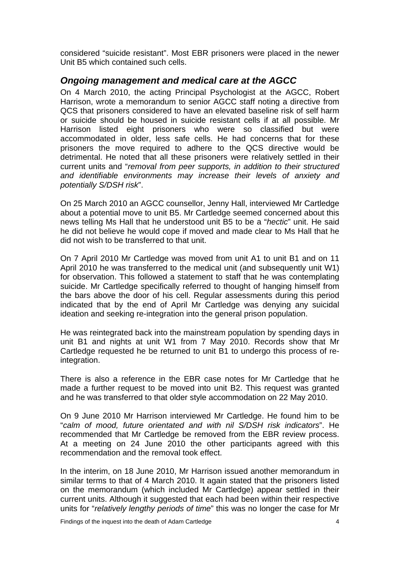considered "suicide resistant". Most EBR prisoners were placed in the newer Unit B5 which contained such cells.

#### <span id="page-5-0"></span>*Ongoing management and medical care at the AGCC*

On 4 March 2010, the acting Principal Psychologist at the AGCC, Robert Harrison, wrote a memorandum to senior AGCC staff noting a directive from QCS that prisoners considered to have an elevated baseline risk of self harm or suicide should be housed in suicide resistant cells if at all possible. Mr Harrison listed eight prisoners who were so classified but were accommodated in older, less safe cells. He had concerns that for these prisoners the move required to adhere to the QCS directive would be detrimental. He noted that all these prisoners were relatively settled in their current units and "*removal from peer supports, in addition to their structured and identifiable environments may increase their levels of anxiety and potentially S/DSH risk*".

On 25 March 2010 an AGCC counsellor, Jenny Hall, interviewed Mr Cartledge about a potential move to unit B5. Mr Cartledge seemed concerned about this news telling Ms Hall that he understood unit B5 to be a "*hectic*" unit. He said he did not believe he would cope if moved and made clear to Ms Hall that he did not wish to be transferred to that unit.

On 7 April 2010 Mr Cartledge was moved from unit A1 to unit B1 and on 11 April 2010 he was transferred to the medical unit (and subsequently unit W1) for observation. This followed a statement to staff that he was contemplating suicide. Mr Cartledge specifically referred to thought of hanging himself from the bars above the door of his cell. Regular assessments during this period indicated that by the end of April Mr Cartledge was denying any suicidal ideation and seeking re-integration into the general prison population.

He was reintegrated back into the mainstream population by spending days in unit B1 and nights at unit W1 from 7 May 2010. Records show that Mr Cartledge requested he be returned to unit B1 to undergo this process of reintegration.

There is also a reference in the EBR case notes for Mr Cartledge that he made a further request to be moved into unit B2. This request was granted and he was transferred to that older style accommodation on 22 May 2010.

On 9 June 2010 Mr Harrison interviewed Mr Cartledge. He found him to be "*calm of mood, future orientated and with nil S/DSH risk indicators*". He recommended that Mr Cartledge be removed from the EBR review process. At a meeting on 24 June 2010 the other participants agreed with this recommendation and the removal took effect.

In the interim, on 18 June 2010, Mr Harrison issued another memorandum in similar terms to that of 4 March 2010. It again stated that the prisoners listed on the memorandum (which included Mr Cartledge) appear settled in their current units. Although it suggested that each had been within their respective units for "*relatively lengthy periods of time*" this was no longer the case for Mr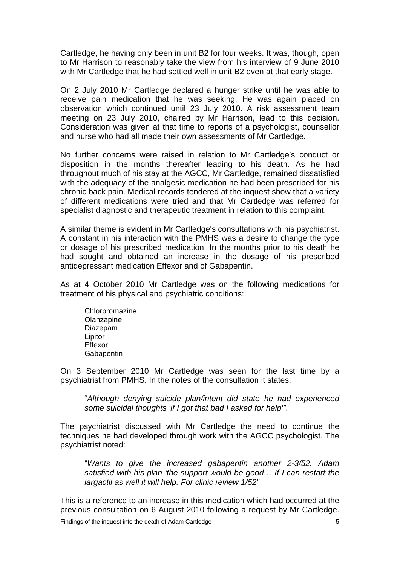Cartledge, he having only been in unit B2 for four weeks. It was, though, open to Mr Harrison to reasonably take the view from his interview of 9 June 2010 with Mr Cartledge that he had settled well in unit B2 even at that early stage.

On 2 July 2010 Mr Cartledge declared a hunger strike until he was able to receive pain medication that he was seeking. He was again placed on observation which continued until 23 July 2010. A risk assessment team meeting on 23 July 2010, chaired by Mr Harrison, lead to this decision. Consideration was given at that time to reports of a psychologist, counsellor and nurse who had all made their own assessments of Mr Cartledge.

No further concerns were raised in relation to Mr Cartledge's conduct or disposition in the months thereafter leading to his death. As he had throughout much of his stay at the AGCC, Mr Cartledge, remained dissatisfied with the adequacy of the analgesic medication he had been prescribed for his chronic back pain. Medical records tendered at the inquest show that a variety of different medications were tried and that Mr Cartledge was referred for specialist diagnostic and therapeutic treatment in relation to this complaint.

A similar theme is evident in Mr Cartledge's consultations with his psychiatrist. A constant in his interaction with the PMHS was a desire to change the type or dosage of his prescribed medication. In the months prior to his death he had sought and obtained an increase in the dosage of his prescribed antidepressant medication Effexor and of Gabapentin.

As at 4 October 2010 Mr Cartledge was on the following medications for treatment of his physical and psychiatric conditions:

Chlorpromazine **Olanzapine** Diazepam Lipitor Effexor Gabapentin

On 3 September 2010 Mr Cartledge was seen for the last time by a psychiatrist from PMHS. In the notes of the consultation it states:

"*Although denying suicide plan/intent did state he had experienced some suicidal thoughts 'if I got that bad I asked for help'"*.

The psychiatrist discussed with Mr Cartledge the need to continue the techniques he had developed through work with the AGCC psychologist. The psychiatrist noted:

"*Wants to give the increased gabapentin another 2-3/52. Adam satisfied with his plan 'the support would be good… If I can restart the largactil as well it will help. For clinic review 1/52"*

This is a reference to an increase in this medication which had occurred at the previous consultation on 6 August 2010 following a request by Mr Cartledge.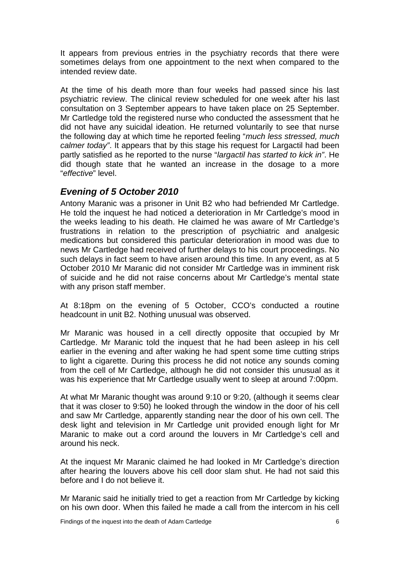It appears from previous entries in the psychiatry records that there were sometimes delays from one appointment to the next when compared to the intended review date.

At the time of his death more than four weeks had passed since his last psychiatric review. The clinical review scheduled for one week after his last consultation on 3 September appears to have taken place on 25 September. Mr Cartledge told the registered nurse who conducted the assessment that he did not have any suicidal ideation. He returned voluntarily to see that nurse the following day at which time he reported feeling "*much less stressed, much calmer today"*. It appears that by this stage his request for Largactil had been partly satisfied as he reported to the nurse "*largactil has started to kick in"*. He did though state that he wanted an increase in the dosage to a more "*effective*" level.

#### <span id="page-7-0"></span>*Evening of 5 October 2010*

Antony Maranic was a prisoner in Unit B2 who had befriended Mr Cartledge. He told the inquest he had noticed a deterioration in Mr Cartledge's mood in the weeks leading to his death. He claimed he was aware of Mr Cartledge's frustrations in relation to the prescription of psychiatric and analgesic medications but considered this particular deterioration in mood was due to news Mr Cartledge had received of further delays to his court proceedings. No such delays in fact seem to have arisen around this time. In any event, as at 5 October 2010 Mr Maranic did not consider Mr Cartledge was in imminent risk of suicide and he did not raise concerns about Mr Cartledge's mental state with any prison staff member.

At 8:18pm on the evening of 5 October, CCO's conducted a routine headcount in unit B2. Nothing unusual was observed.

Mr Maranic was housed in a cell directly opposite that occupied by Mr Cartledge. Mr Maranic told the inquest that he had been asleep in his cell earlier in the evening and after waking he had spent some time cutting strips to light a cigarette. During this process he did not notice any sounds coming from the cell of Mr Cartledge, although he did not consider this unusual as it was his experience that Mr Cartledge usually went to sleep at around 7:00pm.

At what Mr Maranic thought was around 9:10 or 9:20, (although it seems clear that it was closer to 9:50) he looked through the window in the door of his cell and saw Mr Cartledge, apparently standing near the door of his own cell. The desk light and television in Mr Cartledge unit provided enough light for Mr Maranic to make out a cord around the louvers in Mr Cartledge's cell and around his neck.

At the inquest Mr Maranic claimed he had looked in Mr Cartledge's direction after hearing the louvers above his cell door slam shut. He had not said this before and I do not believe it.

Mr Maranic said he initially tried to get a reaction from Mr Cartledge by kicking on his own door. When this failed he made a call from the intercom in his cell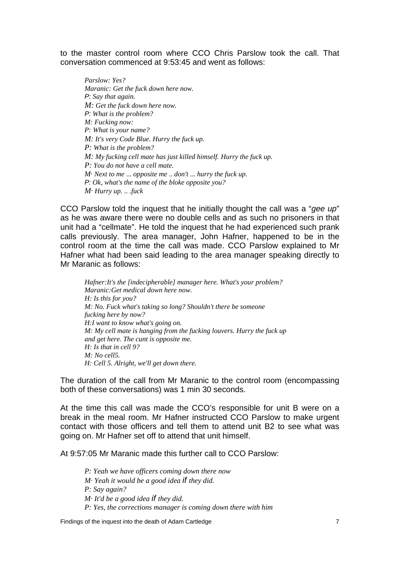t o the master control room where CCO Chris Parslow took the call. That c onversation commenced at 9:53:45 and went as follows:

*Parslow: Yes? Maranic: Get the fuck down here now. P: Say that again. M: Get the fuck down here now. P: What is the problem? M: Fucking now: P: What is your name? M: It's very Code Blue. Hurry the fuck up. P: What is the problem? M: My fucking cell mate has just killed himself. Hurry the fuck up. P: You do not have a cell mate. M· Next to me* ... *opposite me* .. *don't* ... *hurry the fuck up. P: Ok, what's the name of the bloke opposite you? M· Hurry up.* .. *.fuck*

CCO Parslow told the inquest that he initially thought the call was a "*gee up*" as he was aware there were no double cells and as such no prisoners in that unit had a "cellmate". He told the inquest that he had experienced such prank calls previously. The area manager, John Hafner, happened to be in the control room at the time the call was made. CCO Parslow explained to Mr Hafner what had been said leading to the area manager speaking directly to Mr Maranic as follows:

*Hafner:It's the [indecipherable] manager here. What's your problem? Maranic:Get medical down here now. H: Is this for you? M: No. Fuck what's taking so long? Shouldn't there be someone fucking here by now? H:I want to know what's going on. M: My cell mate is hanging from the fucking louvers. Hurry the fuck up and get here. The cunt is opposite me. H: Is that in cell 9? M: No cell5. H: Cell 5. Alright, we'll get down there.*

The duration of the call from Mr Maranic to the control room (encompassing both of these conversations) was 1 min 30 seconds.

At the time this call was made the CCO's responsible for unit B were on a break in the meal room. Mr Hafner instructed CCO Parslow to make urgent contact with those officers and tell them to attend unit B2 to see what was going on. Mr Hafner set off to attend that unit himself.

At 9:57:05 Mr Maranic made this further call to CCO Parslow:

*P: Yeah we have officers coming down there now M· Yeah it would be a good idea if they did. P: Say again? M· It'd be a good idea if they did. P: Yes, the corrections manager is coming down there with him*

Findings of the inquest into the death of Adam Cartledge 7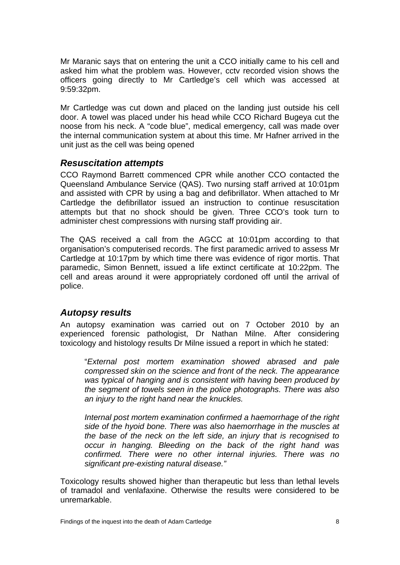Mr Maranic says that on entering the unit a CCO initially came to his cell and asked him what the problem was. However, cctv recorded vision shows the officers going directly to Mr Cartledge's cell which was accessed at 9:59:32pm.

Mr Cartledge was cut down and placed on the landing just outside his cell door. A towel was placed under his head while CCO Richard Bugeya cut the noose from his neck. A "code blue", medical emergency, call was made over the internal communication system at about this time. Mr Hafner arrived in the unit just as the cell was being opened

#### <span id="page-9-0"></span>*Resuscitation attempts*

CCO Raymond Barrett commenced CPR while another CCO contacted the Queensland Ambulance Service (QAS). Two nursing staff arrived at 10:01pm and assisted with CPR by using a bag and defibrillator. When attached to Mr Cartledge the defibrillator issued an instruction to continue resuscitation attempts but that no shock should be given. Three CCO's took turn to administer chest compressions with nursing staff providing air.

The QAS received a call from the AGCC at 10:01pm according to that organisation's computerised records. The first paramedic arrived to assess Mr Cartledge at 10:17pm by which time there was evidence of rigor mortis. That paramedic, Simon Bennett, issued a life extinct certificate at 10:22pm. The cell and areas around it were appropriately cordoned off until the arrival of police.

#### <span id="page-9-1"></span>*Autopsy results*

An autopsy examination was carried out on 7 October 2010 by an experienced forensic pathologist, Dr Nathan Milne. After considering toxicology and histology results Dr Milne issued a report in which he stated:

"*External post mortem examination showed abrased and pale compressed skin on the science and front of the neck. The appearance was typical of hanging and is consistent with having been produced by the segment of towels seen in the police photographs. There was also an injury to the right hand near the knuckles.* 

*Internal post mortem examination confirmed a haemorrhage of the right side of the hyoid bone. There was also haemorrhage in the muscles at the base of the neck on the left side, an injury that is recognised to occur in hanging. Bleeding on the back of the right hand was confirmed. There were no other internal injuries. There was no significant pre-existing natural disease."* 

Toxicology results showed higher than therapeutic but less than lethal levels of tramadol and venlafaxine. Otherwise the results were considered to be unremarkable.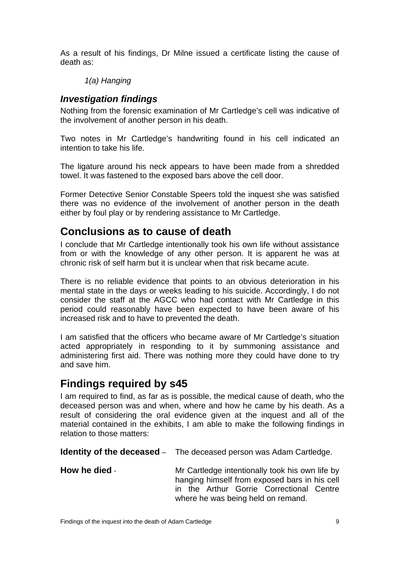As a result of his findings, Dr Milne issued a certificate listing the cause of death as:

#### *1(a) Hanging*

#### <span id="page-10-0"></span>*Investigation findings*

Nothing from the forensic examination of Mr Cartledge's cell was indicative of the involvement of another person in his death.

Two notes in Mr Cartledge's handwriting found in his cell indicated an intention to take his life.

The ligature around his neck appears to have been made from a shredded towel. It was fastened to the exposed bars above the cell door.

Former Detective Senior Constable Speers told the inquest she was satisfied there was no evidence of the involvement of another person in the death either by foul play or by rendering assistance to Mr Cartledge.

## <span id="page-10-1"></span>**Conclusions as to cause of death**

I conclude that Mr Cartledge intentionally took his own life without assistance from or with the knowledge of any other person. It is apparent he was at chronic risk of self harm but it is unclear when that risk became acute.

There is no reliable evidence that points to an obvious deterioration in his mental state in the days or weeks leading to his suicide. Accordingly, I do not consider the staff at the AGCC who had contact with Mr Cartledge in this period could reasonably have been expected to have been aware of his increased risk and to have to prevented the death.

I am satisfied that the officers who became aware of Mr Cartledge's situation acted appropriately in responding to it by summoning assistance and administering first aid. There was nothing more they could have done to try and save him.

# <span id="page-10-2"></span>**Findings required by s45**

I am required to find, as far as is possible, the medical cause of death, who the deceased person was and when, where and how he came by his death. As a result of considering the oral evidence given at the inquest and all of the material contained in the exhibits, I am able to make the following findings in relation to those matters:

<span id="page-10-3"></span>

| Identity of the deceased - | The deceased person was Adam Cartledge. |  |
|----------------------------|-----------------------------------------|--|
|----------------------------|-----------------------------------------|--|

<span id="page-10-4"></span>**How he died** - Mr Cartledge intentionally took his own life by hanging himself from exposed bars in his cell in the Arthur Gorrie Correctional Centre where he was being held on remand.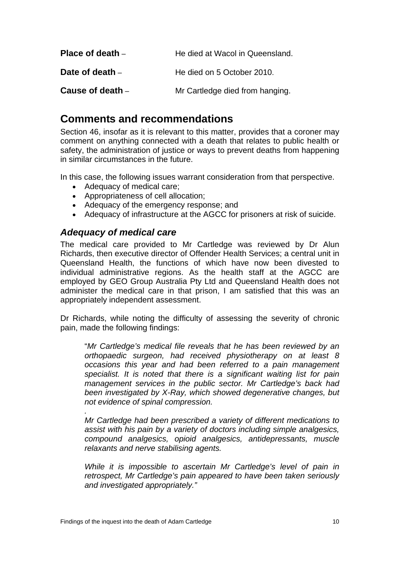<span id="page-11-1"></span><span id="page-11-0"></span>

| Place of death $-$ | He died at Wacol in Queensland. |
|--------------------|---------------------------------|
| Date of death $-$  | He died on 5 October 2010.      |
| Cause of death –   | Mr Cartledge died from hanging. |

## <span id="page-11-3"></span><span id="page-11-2"></span>**Comments and recommendations**

Section 46, insofar as it is relevant to this matter, provides that a coroner may comment on anything connected with a death that relates to public health or safety, the administration of justice or ways to prevent deaths from happening in similar circumstances in the future.

In this case, the following issues warrant consideration from that perspective.

- Adequacy of medical care;
- Appropriateness of cell allocation;
- Adequacy of the emergency response; and
- Adequacy of infrastructure at the AGCC for prisoners at risk of suicide.

#### <span id="page-11-4"></span>*Adequacy of medical care*

 *.* 

The medical care provided to Mr Cartledge was reviewed by Dr Alun Richards, then executive director of Offender Health Services; a central unit in Queensland Health, the functions of which have now been divested to individual administrative regions. As the health staff at the AGCC are employed by GEO Group Australia Pty Ltd and Queensland Health does not administer the medical care in that prison, I am satisfied that this was an appropriately independent assessment.

Dr Richards, while noting the difficulty of assessing the severity of chronic pain, made the following findings:

"*Mr Cartledge's medical file reveals that he has been reviewed by an orthopaedic surgeon, had received physiotherapy on at least 8 occasions this year and had been referred to a pain management specialist. It is noted that there is a significant waiting list for pain management services in the public sector. Mr Cartledge's back had been investigated by X-Ray, which showed degenerative changes, but not evidence of spinal compression.* 

*Mr Cartledge had been prescribed a variety of different medications to assist with his pain by a variety of doctors including simple analgesics, compound analgesics, opioid analgesics, antidepressants, muscle relaxants and nerve stabilising agents.* 

*While it is impossible to ascertain Mr Cartledge's level of pain in retrospect, Mr Cartledge's pain appeared to have been taken seriously and investigated appropriately."*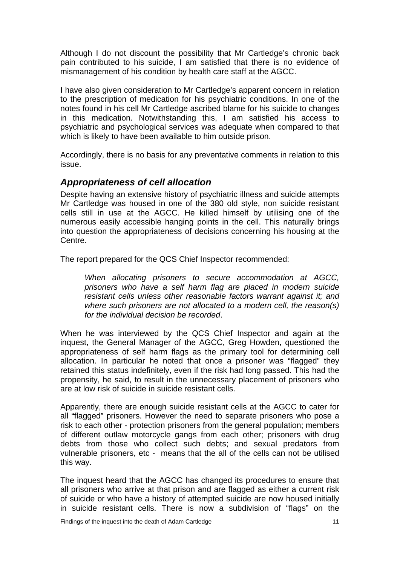Although I do not discount the possibility that Mr Cartledge's chronic back pain contributed to his suicide, I am satisfied that there is no evidence of mismanagement of his condition by health care staff at the AGCC.

I have also given consideration to Mr Cartledge's apparent concern in relation to the prescription of medication for his psychiatric conditions. In one of the notes found in his cell Mr Cartledge ascribed blame for his suicide to changes in this medication. Notwithstanding this, I am satisfied his access to psychiatric and psychological services was adequate when compared to that which is likely to have been available to him outside prison.

Accordingly, there is no basis for any preventative comments in relation to this issue.

#### <span id="page-12-0"></span>*Appropriateness of cell allocation*

Despite having an extensive history of psychiatric illness and suicide attempts Mr Cartledge was housed in one of the 380 old style, non suicide resistant cells still in use at the AGCC. He killed himself by utilising one of the numerous easily accessible hanging points in the cell. This naturally brings into question the appropriateness of decisions concerning his housing at the Centre.

The report prepared for the QCS Chief Inspector recommended:

*When allocating prisoners to secure accommodation at AGCC, prisoners who have a self harm flag are placed in modern suicide resistant cells unless other reasonable factors warrant against it; and where such prisoners are not allocated to a modern cell, the reason(s) for the individual decision be recorded*.

When he was interviewed by the QCS Chief Inspector and again at the inquest, the General Manager of the AGCC, Greg Howden, questioned the appropriateness of self harm flags as the primary tool for determining cell allocation. In particular he noted that once a prisoner was "flagged" they retained this status indefinitely, even if the risk had long passed. This had the ropensity, he said, to result in the unnecessary placement of prisoners who p are at low risk of suicide in suicide resistant cells.

Apparently, there are enough suicide resistant cells at the AGCC to cater for all "flagged" prisoners. However the need to separate prisoners who pose a risk to each other - protection prisoners from the general population; members of different outlaw motorcycle gangs from each other; prisoners with drug debts from those who collect such debts; and sexual predators from vulnerable prisoners, etc - means that the all of the cells can not be utilised this way.

The inquest heard that the AGCC has changed its procedures to ensure that all prisoners who arrive at that prison and are flagged as either a current risk of suicide or who have a history of attempted suicide are now housed initially in suicide resistant cells. There is now a subdivision of "flags" on the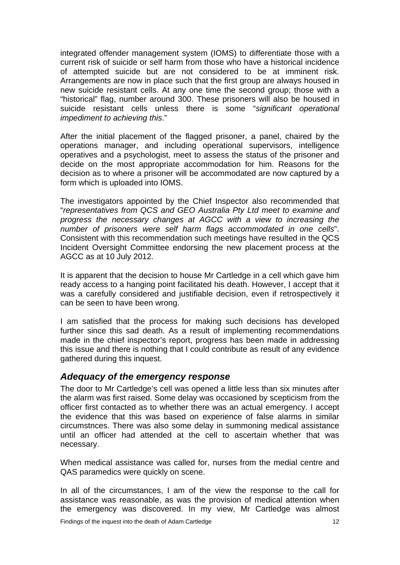integrated offender management system (IOMS) to differentiate those with a current risk of suicide or self harm from those who have a historical incidence of attempted suicide but are not considered to be at imminent risk. Arrangements are now in place such that the first group are always housed in new suicide resistant cells. At any one time the second group; those with a "historical" flag, number around 300. These prisoners will also be housed in suicide resistant cells unless there is some "*significant operational impediment to achieving this*."

After the initial placement of the flagged prisoner, a panel, chaired by the operations manager, and including operational supervisors, intelligence operatives and a psychologist, meet to assess the status of the prisoner and decide on the most appropriate accommodation for him. Reasons for the decision as to where a prisoner will be accommodated are now captured by a form which is uploaded into IOMS.

The investigators appointed by the Chief Inspector also recommended that "*representatives from QCS and GEO Australia Pty Ltd meet to examine and progress the necessary changes at AGCC with a view to increasing the number of prisoners were self harm flags accommodated in one cells*". Consistent with this recommendation such meetings have resulted in the QCS Incident Oversight Committee endorsing the new placement process at the AGCC as at 10 July 2012.

It is apparent that the decision to house Mr Cartledge in a cell which gave him ready access to a hanging point facilitated his death. However, I accept that it was a carefully considered and justifiable decision, even if retrospectively it can be seen to have been wrong.

I am satisfied that the process for making such decisions has developed further since this sad death. As a result of implementing recommendations made in the chief inspector's report, progress has been made in addressing this issue and there is nothing that I could contribute as result of any evidence gathered during this inquest.

#### <span id="page-13-0"></span>*Adequacy of the emergency response*

The door to Mr Cartledge's cell was opened a little less than six minutes after the alarm was first raised. Some delay was occasioned by scepticism from the officer first contacted as to whether there was an actual emergency. I accept the evidence that this was based on experience of false alarms in similar circumstnces. There was also some delay in summoning medical assistance until an officer had attended at the cell to ascertain whether that was necessary.

When medical assistance was called for, nurses from the medial centre and QAS paramedics were quickly on scene.

In all of the circumstances. I am of the view the response to the call for assistance was reasonable, as was the provision of medical attention when the emergency was discovered. In my view, Mr Cartledge was almost